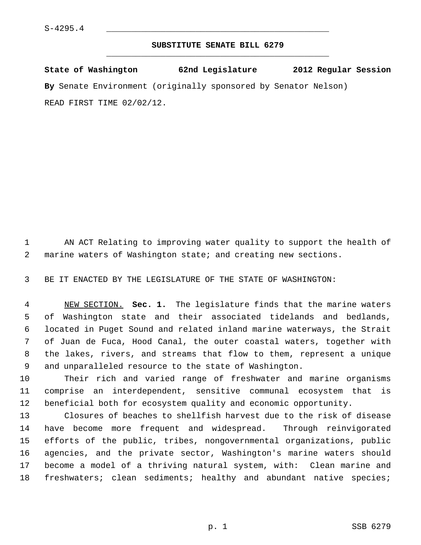## **SUBSTITUTE SENATE BILL 6279** \_\_\_\_\_\_\_\_\_\_\_\_\_\_\_\_\_\_\_\_\_\_\_\_\_\_\_\_\_\_\_\_\_\_\_\_\_\_\_\_\_\_\_\_\_

**State of Washington 62nd Legislature 2012 Regular Session By** Senate Environment (originally sponsored by Senator Nelson) READ FIRST TIME 02/02/12.

 1 AN ACT Relating to improving water quality to support the health of 2 marine waters of Washington state; and creating new sections.

3 BE IT ENACTED BY THE LEGISLATURE OF THE STATE OF WASHINGTON:

 4 NEW SECTION. **Sec. 1.** The legislature finds that the marine waters 5 of Washington state and their associated tidelands and bedlands, 6 located in Puget Sound and related inland marine waterways, the Strait 7 of Juan de Fuca, Hood Canal, the outer coastal waters, together with 8 the lakes, rivers, and streams that flow to them, represent a unique 9 and unparalleled resource to the state of Washington.

10 Their rich and varied range of freshwater and marine organisms 11 comprise an interdependent, sensitive communal ecosystem that is 12 beneficial both for ecosystem quality and economic opportunity.

13 Closures of beaches to shellfish harvest due to the risk of disease 14 have become more frequent and widespread. Through reinvigorated 15 efforts of the public, tribes, nongovernmental organizations, public 16 agencies, and the private sector, Washington's marine waters should 17 become a model of a thriving natural system, with: Clean marine and 18 freshwaters; clean sediments; healthy and abundant native species;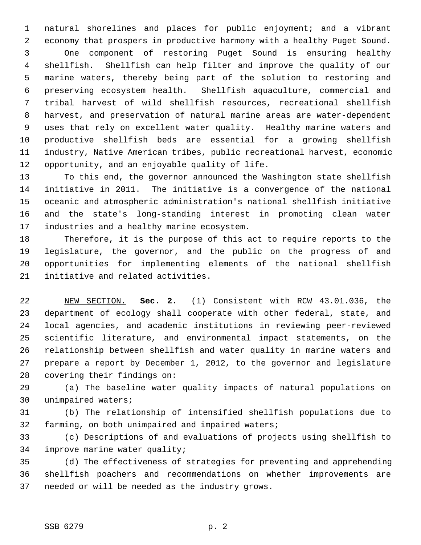1 natural shorelines and places for public enjoyment; and a vibrant 2 economy that prospers in productive harmony with a healthy Puget Sound. 3 One component of restoring Puget Sound is ensuring healthy 4 shellfish. Shellfish can help filter and improve the quality of our 5 marine waters, thereby being part of the solution to restoring and 6 preserving ecosystem health. Shellfish aquaculture, commercial and 7 tribal harvest of wild shellfish resources, recreational shellfish 8 harvest, and preservation of natural marine areas are water-dependent 9 uses that rely on excellent water quality. Healthy marine waters and 10 productive shellfish beds are essential for a growing shellfish 11 industry, Native American tribes, public recreational harvest, economic 12 opportunity, and an enjoyable quality of life.

13 To this end, the governor announced the Washington state shellfish 14 initiative in 2011. The initiative is a convergence of the national 15 oceanic and atmospheric administration's national shellfish initiative 16 and the state's long-standing interest in promoting clean water 17 industries and a healthy marine ecosystem.

18 Therefore, it is the purpose of this act to require reports to the 19 legislature, the governor, and the public on the progress of and 20 opportunities for implementing elements of the national shellfish 21 initiative and related activities.

22 NEW SECTION. **Sec. 2.** (1) Consistent with RCW 43.01.036, the 23 department of ecology shall cooperate with other federal, state, and 24 local agencies, and academic institutions in reviewing peer-reviewed 25 scientific literature, and environmental impact statements, on the 26 relationship between shellfish and water quality in marine waters and 27 prepare a report by December 1, 2012, to the governor and legislature 28 covering their findings on:

29 (a) The baseline water quality impacts of natural populations on 30 unimpaired waters;

31 (b) The relationship of intensified shellfish populations due to 32 farming, on both unimpaired and impaired waters;

33 (c) Descriptions of and evaluations of projects using shellfish to 34 improve marine water quality;

35 (d) The effectiveness of strategies for preventing and apprehending 36 shellfish poachers and recommendations on whether improvements are 37 needed or will be needed as the industry grows.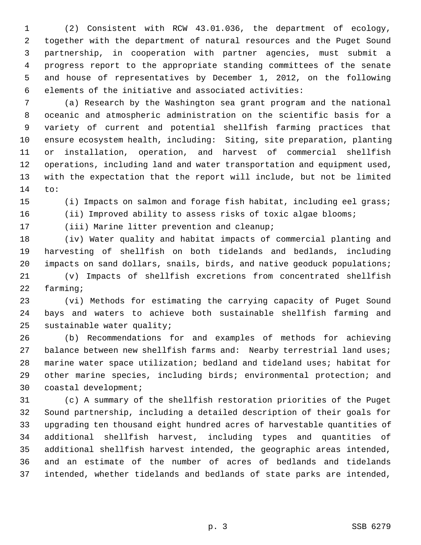1 (2) Consistent with RCW 43.01.036, the department of ecology, 2 together with the department of natural resources and the Puget Sound 3 partnership, in cooperation with partner agencies, must submit a 4 progress report to the appropriate standing committees of the senate 5 and house of representatives by December 1, 2012, on the following 6 elements of the initiative and associated activities:

 7 (a) Research by the Washington sea grant program and the national 8 oceanic and atmospheric administration on the scientific basis for a 9 variety of current and potential shellfish farming practices that 10 ensure ecosystem health, including: Siting, site preparation, planting 11 or installation, operation, and harvest of commercial shellfish 12 operations, including land and water transportation and equipment used, 13 with the expectation that the report will include, but not be limited 14 to:

15 (i) Impacts on salmon and forage fish habitat, including eel grass;

16 (ii) Improved ability to assess risks of toxic algae blooms;

17 (iii) Marine litter prevention and cleanup;

18 (iv) Water quality and habitat impacts of commercial planting and 19 harvesting of shellfish on both tidelands and bedlands, including 20 impacts on sand dollars, snails, birds, and native geoduck populations;

21 (v) Impacts of shellfish excretions from concentrated shellfish 22 farming;

23 (vi) Methods for estimating the carrying capacity of Puget Sound 24 bays and waters to achieve both sustainable shellfish farming and 25 sustainable water quality;

26 (b) Recommendations for and examples of methods for achieving 27 balance between new shellfish farms and: Nearby terrestrial land uses; 28 marine water space utilization; bedland and tideland uses; habitat for 29 other marine species, including birds; environmental protection; and 30 coastal development;

31 (c) A summary of the shellfish restoration priorities of the Puget 32 Sound partnership, including a detailed description of their goals for 33 upgrading ten thousand eight hundred acres of harvestable quantities of 34 additional shellfish harvest, including types and quantities of 35 additional shellfish harvest intended, the geographic areas intended, 36 and an estimate of the number of acres of bedlands and tidelands 37 intended, whether tidelands and bedlands of state parks are intended,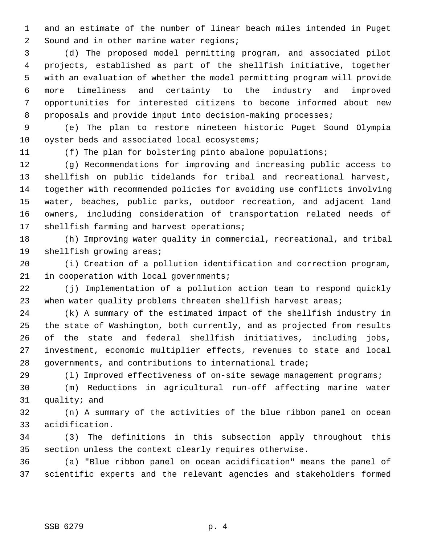1 and an estimate of the number of linear beach miles intended in Puget 2 Sound and in other marine water regions;

 3 (d) The proposed model permitting program, and associated pilot 4 projects, established as part of the shellfish initiative, together 5 with an evaluation of whether the model permitting program will provide 6 more timeliness and certainty to the industry and improved 7 opportunities for interested citizens to become informed about new 8 proposals and provide input into decision-making processes;

 9 (e) The plan to restore nineteen historic Puget Sound Olympia 10 oyster beds and associated local ecosystems;

11 (f) The plan for bolstering pinto abalone populations;

12 (g) Recommendations for improving and increasing public access to 13 shellfish on public tidelands for tribal and recreational harvest, 14 together with recommended policies for avoiding use conflicts involving 15 water, beaches, public parks, outdoor recreation, and adjacent land 16 owners, including consideration of transportation related needs of 17 shellfish farming and harvest operations;

18 (h) Improving water quality in commercial, recreational, and tribal 19 shellfish growing areas;

20 (i) Creation of a pollution identification and correction program, 21 in cooperation with local governments;

22 (j) Implementation of a pollution action team to respond quickly 23 when water quality problems threaten shellfish harvest areas;

24 (k) A summary of the estimated impact of the shellfish industry in 25 the state of Washington, both currently, and as projected from results 26 of the state and federal shellfish initiatives, including jobs, 27 investment, economic multiplier effects, revenues to state and local 28 governments, and contributions to international trade;

29 (l) Improved effectiveness of on-site sewage management programs;

30 (m) Reductions in agricultural run-off affecting marine water 31 quality; and

32 (n) A summary of the activities of the blue ribbon panel on ocean 33 acidification.

34 (3) The definitions in this subsection apply throughout this 35 section unless the context clearly requires otherwise.

36 (a) "Blue ribbon panel on ocean acidification" means the panel of 37 scientific experts and the relevant agencies and stakeholders formed